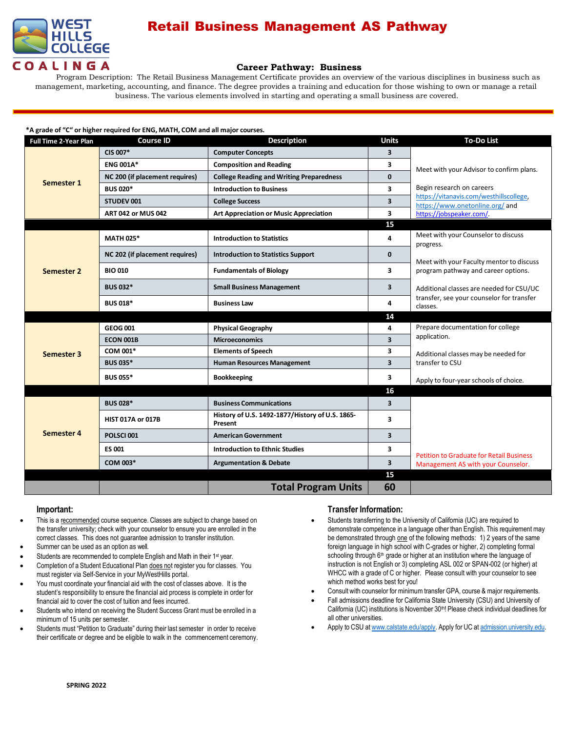

# Retail Business Management AS Pathway

## **Career [Pathway:](http://www.broward.edu/academics/programs/Pages/social-behavioral-sciences-human-services-SBSHS.aspx) Business**

Program Description: The Retail Business Management Certificate provides an overview of the various disciplines in business such as management, marketing, accounting, and finance. The degree provides a training and education for those wishing to own or manage a retail business. The various elements involved in starting and operating a small business are covered.

#### **\*A grade of "C" or higher required for ENG, MATH, COM and all major courses.**

| <b>Full Time 2-Year Plan</b> | <b>Course ID</b>               | <b>Description</b>                                         | <b>Units</b>            | <b>To-Do List</b>                                                                                                                                                                    |
|------------------------------|--------------------------------|------------------------------------------------------------|-------------------------|--------------------------------------------------------------------------------------------------------------------------------------------------------------------------------------|
| Semester 1                   | CIS 007*                       | <b>Computer Concepts</b>                                   | 3                       |                                                                                                                                                                                      |
|                              | <b>ENG 001A*</b>               | <b>Composition and Reading</b>                             | 3                       | Meet with your Advisor to confirm plans.                                                                                                                                             |
|                              | NC 200 (if placement requires) | <b>College Reading and Writing Preparedness</b>            | $\mathbf{0}$            |                                                                                                                                                                                      |
|                              | <b>BUS 020*</b>                | <b>Introduction to Business</b>                            | 3                       | Begin research on careers                                                                                                                                                            |
|                              | <b>STUDEV 001</b>              | <b>College Success</b>                                     | $\overline{\mathbf{3}}$ | https://vitanavis.com/westhillscollege,<br>https://www.onetonline.org/ and                                                                                                           |
|                              | <b>ART 042 or MUS 042</b>      | <b>Art Appreciation or Music Appreciation</b>              | 3                       | https://jobspeaker.com/.                                                                                                                                                             |
|                              |                                |                                                            | 15                      |                                                                                                                                                                                      |
| <b>Semester 2</b>            | <b>MATH 025*</b>               | <b>Introduction to Statistics</b>                          | 4                       | Meet with your Counselor to discuss<br>progress.                                                                                                                                     |
|                              | NC 202 (if placement requires) | <b>Introduction to Statistics Support</b>                  | $\mathbf{0}$            | Meet with your Faculty mentor to discuss<br>program pathway and career options.<br>Additional classes are needed for CSU/UC<br>transfer, see your counselor for transfer<br>classes. |
|                              | <b>BIO 010</b>                 | <b>Fundamentals of Biology</b>                             | 3                       |                                                                                                                                                                                      |
|                              | <b>BUS 032*</b>                | <b>Small Business Management</b>                           | $\overline{\mathbf{3}}$ |                                                                                                                                                                                      |
|                              | <b>BUS 018*</b>                | <b>Business Law</b>                                        | 4                       |                                                                                                                                                                                      |
|                              |                                |                                                            | 14                      |                                                                                                                                                                                      |
| <b>Semester 3</b>            | <b>GEOG 001</b>                | <b>Physical Geography</b>                                  | 4                       | Prepare documentation for college<br>application.<br>Additional classes may be needed for<br>transfer to CSU                                                                         |
|                              | ECON 001B                      | <b>Microeconomics</b>                                      | $\overline{\mathbf{3}}$ |                                                                                                                                                                                      |
|                              | COM 001*                       | <b>Elements of Speech</b>                                  | 3                       |                                                                                                                                                                                      |
|                              | <b>BUS 035*</b>                | <b>Human Resources Management</b>                          | $\overline{\mathbf{3}}$ |                                                                                                                                                                                      |
|                              | <b>BUS 055*</b>                | <b>Bookkeeping</b>                                         | 3                       | Apply to four-year schools of choice.                                                                                                                                                |
|                              |                                |                                                            | 16                      |                                                                                                                                                                                      |
| Semester 4                   | <b>BUS 028*</b>                | <b>Business Communications</b>                             | 3                       |                                                                                                                                                                                      |
|                              | <b>HIST 017A or 017B</b>       | History of U.S. 1492-1877/History of U.S. 1865-<br>Present | 3                       |                                                                                                                                                                                      |
|                              | POLSCI001                      | <b>American Government</b>                                 | $\overline{\mathbf{3}}$ |                                                                                                                                                                                      |
|                              | <b>ES 001</b>                  | <b>Introduction to Ethnic Studies</b>                      | 3                       | <b>Petition to Graduate for Retail Business</b>                                                                                                                                      |
|                              | <b>COM 003*</b>                | <b>Argumentation &amp; Debate</b>                          | $\overline{\mathbf{3}}$ | Management AS with your Counselor.                                                                                                                                                   |
|                              |                                |                                                            | 15                      |                                                                                                                                                                                      |
|                              |                                | <b>Total Program Units</b>                                 | 60                      |                                                                                                                                                                                      |

### **Important:**

- This is a recommended course sequence. Classes are subject to change based on the transfer university; check with your counselor to ensure you are enrolled in the correct classes. This does not guarantee admission to transfer institution.
- Summer can be used as an option as well.
- Students are recommended to complete English and Math in their 1<sup>st</sup> year.
- Completion of a Student Educational Plan does not register you for classes. You must register via Self-Service in your MyWestHills portal.
- You must coordinate your financial aid with the cost of classes above. It is the student's responsibility to ensure the financial aid process is complete in order for financial aid to cover the cost of tuition and fees incurred.
- Students who intend on receiving the Student Success Grant must be enrolled in a minimum of 15 units per semester.
- Students must "Petition to Graduate" during their last semester in order to receive their certificate or degree and be eligible to walk in the commencement ceremony.

## **Transfer Information:**

- Students transferring to the University of California (UC) are required to demonstrate competence in a language other than English. This requirement may be demonstrated through one of the following methods: 1) 2 years of the same foreign language in high school with C-grades or higher, 2) completing formal schooling through 6<sup>th</sup> grade or higher at an institution where the language of instruction is not English or 3) completing ASL 002 or SPAN-002 (or higher) at WHCC with a grade of C or higher. Please consult with your counselor to see which method works best for you!
- Consult with counselor for minimum transfer GPA, course & major requirements.
- Fall admissions deadline for California State University (CSU) and University of California (UC) institutions is November 30<sup>th</sup>! Please check individual deadlines for all other universities.
- Apply to CSU at [www.calstate.edu/apply.](http://www.calstate.edu/apply) Apply for UC at [admission.university.edu.](http://www.apply.universityofcalifornia.edu/)